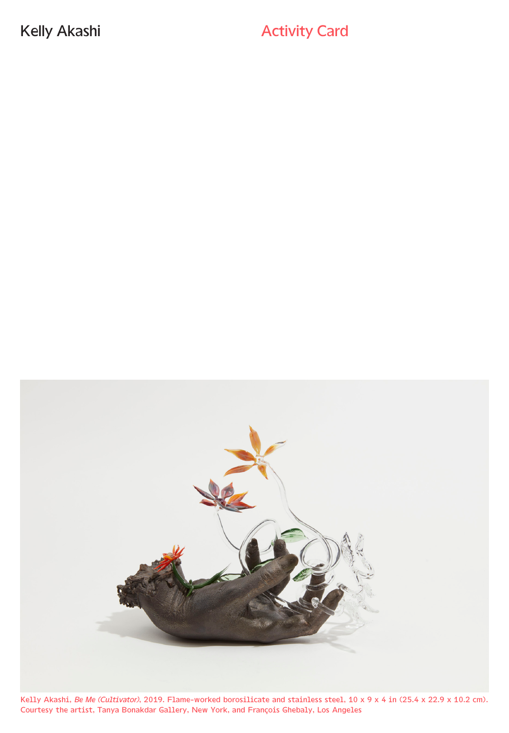Kelly Akashi **Activity Card Activity Card** 



Kelly Akashi, *Be Me (Cultivator)*, 2019. Flame-worked borosilicate and stainless steel, 10 x 9 x 4 in (25.4 x 22.9 x 10.2 cm). Courtesy the artist, Tanya Bonakdar Gallery, New York, and François Ghebaly, Los Angeles